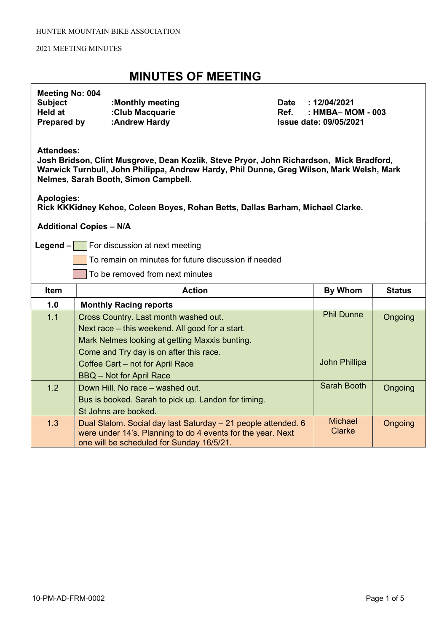### MINUTES OF MEETING

### Meeting No: 004

| <b>Subject</b> | :Monthly meeting |
|----------------|------------------|
| Held at        | :Club Macquarie  |
| Prepared by    | :Andrew Hardy    |

Date : 12/04/2021  $Ref.$  : HMBA– MOM - 003 **Issue date: 09/05/2021** 

#### Attendees:

Josh Bridson, Clint Musgrove, Dean Kozlik, Steve Pryor, John Richardson, Mick Bradford, Warwick Turnbull, John Philippa, Andrew Hardy, Phil Dunne, Greg Wilson, Mark Welsh, Mark Nelmes, Sarah Booth, Simon Campbell.

Apologies:

Rick KKKidney Kehoe, Coleen Boyes, Rohan Betts, Dallas Barham, Michael Clarke.

Additional Copies – N/A

**Legend – For discussion at next meeting** 

To remain on minutes for future discussion if needed

To be removed from next minutes

| <b>Item</b> | <b>Action</b>                                                                                                                | By Whom                  | <b>Status</b> |
|-------------|------------------------------------------------------------------------------------------------------------------------------|--------------------------|---------------|
| 1.0         | <b>Monthly Racing reports</b>                                                                                                |                          |               |
| 1.1         | Cross Country. Last month washed out.                                                                                        | <b>Phil Dunne</b>        | Ongoing       |
|             | Next race – this weekend. All good for a start.                                                                              |                          |               |
|             | Mark Nelmes looking at getting Maxxis bunting.                                                                               |                          |               |
|             | Come and Try day is on after this race.                                                                                      |                          |               |
|             | Coffee Cart - not for April Race                                                                                             | John Phillipa            |               |
|             | BBQ - Not for April Race                                                                                                     |                          |               |
| 1.2         | Down Hill. No race – washed out.                                                                                             | Sarah Booth              | Ongoing       |
|             | Bus is booked. Sarah to pick up. Landon for timing.                                                                          |                          |               |
|             | St Johns are booked.                                                                                                         |                          |               |
| 1.3         | Dual Slalom. Social day last Saturday - 21 people attended. 6<br>were under 14's. Planning to do 4 events for the year. Next | <b>Michael</b><br>Clarke | Ongoing       |
|             | one will be scheduled for Sunday 16/5/21.                                                                                    |                          |               |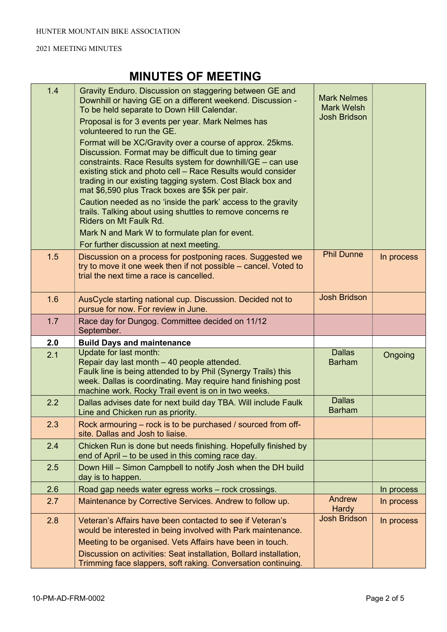# MINUTES OF MEETING

| 1.4 | Gravity Enduro. Discussion on staggering between GE and<br>Downhill or having GE on a different weekend. Discussion -<br>To be held separate to Down Hill Calendar.<br>Proposal is for 3 events per year. Mark Nelmes has                                                                                                                                         | <b>Mark Nelmes</b><br><b>Mark Welsh</b><br><b>Josh Bridson</b> |            |
|-----|-------------------------------------------------------------------------------------------------------------------------------------------------------------------------------------------------------------------------------------------------------------------------------------------------------------------------------------------------------------------|----------------------------------------------------------------|------------|
|     | volunteered to run the GE.                                                                                                                                                                                                                                                                                                                                        |                                                                |            |
|     | Format will be XC/Gravity over a course of approx. 25kms.<br>Discussion. Format may be difficult due to timing gear<br>constraints. Race Results system for downhill/GE - can use<br>existing stick and photo cell - Race Results would consider<br>trading in our existing tagging system. Cost Black box and<br>mat \$6,590 plus Track boxes are \$5k per pair. |                                                                |            |
|     | Caution needed as no 'inside the park' access to the gravity<br>trails. Talking about using shuttles to remove concerns re<br>Riders on Mt Faulk Rd.                                                                                                                                                                                                              |                                                                |            |
|     | Mark N and Mark W to formulate plan for event.                                                                                                                                                                                                                                                                                                                    |                                                                |            |
|     | For further discussion at next meeting.                                                                                                                                                                                                                                                                                                                           |                                                                |            |
| 1.5 | Discussion on a process for postponing races. Suggested we<br>try to move it one week then if not possible – cancel. Voted to<br>trial the next time a race is cancelled.                                                                                                                                                                                         | <b>Phil Dunne</b>                                              | In process |
| 1.6 | AusCycle starting national cup. Discussion. Decided not to<br>pursue for now. For review in June.                                                                                                                                                                                                                                                                 | <b>Josh Bridson</b>                                            |            |
| 1.7 | Race day for Dungog. Committee decided on 11/12<br>September.                                                                                                                                                                                                                                                                                                     |                                                                |            |
| 2.0 | <b>Build Days and maintenance</b>                                                                                                                                                                                                                                                                                                                                 |                                                                |            |
| 2.1 | Update for last month:<br>Repair day last month - 40 people attended.<br>Faulk line is being attended to by Phil (Synergy Trails) this<br>week. Dallas is coordinating. May require hand finishing post<br>machine work. Rocky Trail event is on in two weeks.                                                                                                    | <b>Dallas</b><br><b>Barham</b>                                 | Ongoing    |
| 2.2 | Dallas advises date for next build day TBA. Will include Faulk<br>Line and Chicken run as priority.                                                                                                                                                                                                                                                               | <b>Dallas</b><br><b>Barham</b>                                 |            |
| 2.3 | Rock armouring – rock is to be purchased / sourced from off-<br>site. Dallas and Josh to liaise.                                                                                                                                                                                                                                                                  |                                                                |            |
| 2.4 | Chicken Run is done but needs finishing. Hopefully finished by<br>end of April – to be used in this coming race day.                                                                                                                                                                                                                                              |                                                                |            |
| 2.5 | Down Hill - Simon Campbell to notify Josh when the DH build<br>day is to happen.                                                                                                                                                                                                                                                                                  |                                                                |            |
| 2.6 | Road gap needs water egress works - rock crossings.                                                                                                                                                                                                                                                                                                               |                                                                | In process |
| 2.7 | Maintenance by Corrective Services. Andrew to follow up.                                                                                                                                                                                                                                                                                                          | Andrew<br><b>Hardy</b>                                         | In process |
| 2.8 | Veteran's Affairs have been contacted to see if Veteran's<br>would be interested in being involved with Park maintenance.<br>Meeting to be organised. Vets Affairs have been in touch.                                                                                                                                                                            | <b>Josh Bridson</b>                                            | In process |
|     | Discussion on activities: Seat installation, Bollard installation,<br>Trimming face slappers, soft raking. Conversation continuing.                                                                                                                                                                                                                               |                                                                |            |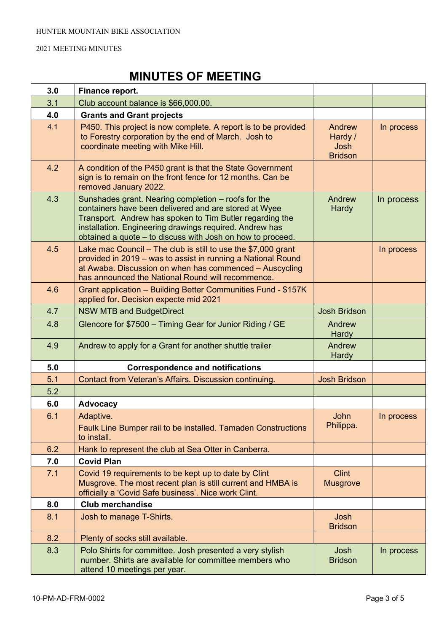# MINUTES OF MEETING

| 3.0 | Finance report.                                                                                                                                                                                                                                                                                   |                                             |            |
|-----|---------------------------------------------------------------------------------------------------------------------------------------------------------------------------------------------------------------------------------------------------------------------------------------------------|---------------------------------------------|------------|
| 3.1 | Club account balance is \$66,000.00.                                                                                                                                                                                                                                                              |                                             |            |
| 4.0 | <b>Grants and Grant projects</b>                                                                                                                                                                                                                                                                  |                                             |            |
| 4.1 | P450. This project is now complete. A report is to be provided<br>to Forestry corporation by the end of March. Josh to<br>coordinate meeting with Mike Hill.                                                                                                                                      | Andrew<br>Hardy /<br>Josh<br><b>Bridson</b> | In process |
| 4.2 | A condition of the P450 grant is that the State Government<br>sign is to remain on the front fence for 12 months. Can be<br>removed January 2022.                                                                                                                                                 |                                             |            |
| 4.3 | Sunshades grant. Nearing completion - roofs for the<br>containers have been delivered and are stored at Wyee<br>Transport. Andrew has spoken to Tim Butler regarding the<br>installation. Engineering drawings required. Andrew has<br>obtained a quote - to discuss with Josh on how to proceed. | Andrew<br><b>Hardy</b>                      | In process |
| 4.5 | Lake mac Council $-$ The club is still to use the \$7,000 grant<br>provided in 2019 - was to assist in running a National Round<br>at Awaba. Discussion on when has commenced - Auscycling<br>has announced the National Round will recommence.                                                   |                                             | In process |
| 4.6 | Grant application - Building Better Communities Fund - \$157K<br>applied for. Decision expecte mid 2021                                                                                                                                                                                           |                                             |            |
| 4.7 | <b>NSW MTB and BudgetDirect</b>                                                                                                                                                                                                                                                                   | <b>Josh Bridson</b>                         |            |
| 4.8 | Glencore for \$7500 - Timing Gear for Junior Riding / GE                                                                                                                                                                                                                                          | Andrew<br><b>Hardy</b>                      |            |
| 4.9 | Andrew to apply for a Grant for another shuttle trailer                                                                                                                                                                                                                                           | Andrew<br><b>Hardy</b>                      |            |
| 5.0 | <b>Correspondence and notifications</b>                                                                                                                                                                                                                                                           |                                             |            |
| 5.1 | Contact from Veteran's Affairs. Discussion continuing.                                                                                                                                                                                                                                            | <b>Josh Bridson</b>                         |            |
| 5.2 |                                                                                                                                                                                                                                                                                                   |                                             |            |
| 6.0 | <b>Advocacy</b>                                                                                                                                                                                                                                                                                   |                                             |            |
| 6.1 | Adaptive.<br>Faulk Line Bumper rail to be installed. Tamaden Constructions<br>to install.                                                                                                                                                                                                         | John<br>Philippa.                           | In process |
| 6.2 | Hank to represent the club at Sea Otter in Canberra.                                                                                                                                                                                                                                              |                                             |            |
| 7.0 | <b>Covid Plan</b>                                                                                                                                                                                                                                                                                 |                                             |            |
| 7.1 | Covid 19 requirements to be kept up to date by Clint<br>Musgrove. The most recent plan is still current and HMBA is<br>officially a 'Covid Safe business'. Nice work Clint.                                                                                                                       | <b>Clint</b><br><b>Musgrove</b>             |            |
| 8.0 | <b>Club merchandise</b>                                                                                                                                                                                                                                                                           |                                             |            |
| 8.1 | Josh to manage T-Shirts.                                                                                                                                                                                                                                                                          | Josh<br><b>Bridson</b>                      |            |
| 8.2 | Plenty of socks still available.                                                                                                                                                                                                                                                                  |                                             |            |
| 8.3 | Polo Shirts for committee. Josh presented a very stylish<br>number. Shirts are available for committee members who<br>attend 10 meetings per year.                                                                                                                                                | Josh<br><b>Bridson</b>                      | In process |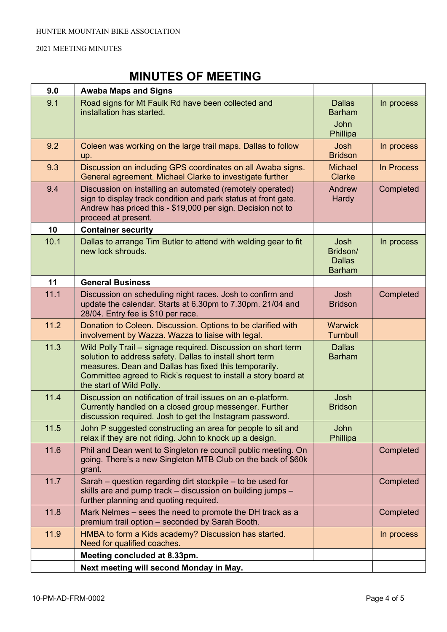# MINUTES OF MEETING

| 9.0    | <b>Awaba Maps and Signs</b>                                                                                                                                                                                                                                                      |                                                           |            |
|--------|----------------------------------------------------------------------------------------------------------------------------------------------------------------------------------------------------------------------------------------------------------------------------------|-----------------------------------------------------------|------------|
| 9.1    | Road signs for Mt Faulk Rd have been collected and<br>installation has started.                                                                                                                                                                                                  | <b>Dallas</b><br><b>Barham</b><br><b>John</b><br>Phillipa | In process |
| 9.2    | Coleen was working on the large trail maps. Dallas to follow<br>up.                                                                                                                                                                                                              | Josh<br><b>Bridson</b>                                    | In process |
| 9.3    | Discussion on including GPS coordinates on all Awaba signs.<br>General agreement. Michael Clarke to investigate further                                                                                                                                                          | <b>Michael</b><br><b>Clarke</b>                           | In Process |
| 9.4    | Discussion on installing an automated (remotely operated)<br>sign to display track condition and park status at front gate.<br>Andrew has priced this - \$19,000 per sign. Decision not to<br>proceed at present.                                                                | Andrew<br>Hardy                                           | Completed  |
| 10     | <b>Container security</b>                                                                                                                                                                                                                                                        |                                                           |            |
| 10.1   | Dallas to arrange Tim Butler to attend with welding gear to fit<br>new lock shrouds.                                                                                                                                                                                             | Josh<br>Bridson/<br><b>Dallas</b><br><b>Barham</b>        | In process |
| 11     | <b>General Business</b>                                                                                                                                                                                                                                                          |                                                           |            |
| 11.1   | Discussion on scheduling night races. Josh to confirm and<br>update the calendar. Starts at 6.30pm to 7.30pm. 21/04 and<br>28/04. Entry fee is \$10 per race.                                                                                                                    | Josh<br><b>Bridson</b>                                    | Completed  |
| 11.2   | Donation to Coleen. Discussion. Options to be clarified with<br>involvement by Wazza. Wazza to liaise with legal.                                                                                                                                                                | <b>Warwick</b><br><b>Turnbull</b>                         |            |
| 11.3   | Wild Polly Trail - signage required. Discussion on short term<br>solution to address safety. Dallas to install short term<br>measures. Dean and Dallas has fixed this temporarily.<br>Committee agreed to Rick's request to install a story board at<br>the start of Wild Polly. | <b>Dallas</b><br><b>Barham</b>                            |            |
| 11.4   | Discussion on notification of trail issues on an e-platform.<br>Currently handled on a closed group messenger. Further<br>discussion required. Josh to get the Instagram password.                                                                                               | Josh<br><b>Bridson</b>                                    |            |
| $11.5$ | John P suggested constructing an area for people to sit and<br>relax if they are not riding. John to knock up a design.                                                                                                                                                          | <b>John</b><br>Phillipa                                   |            |
| 11.6   | Phil and Dean went to Singleton re council public meeting. On<br>going. There's a new Singleton MTB Club on the back of \$60k<br>grant.                                                                                                                                          |                                                           | Completed  |
| 11.7   | Sarah – question regarding dirt stockpile – to be used for<br>skills are and pump track - discussion on building jumps -<br>further planning and quoting required.                                                                                                               |                                                           | Completed  |
| 11.8   | Mark Nelmes - sees the need to promote the DH track as a<br>premium trail option - seconded by Sarah Booth.                                                                                                                                                                      |                                                           | Completed  |
| 11.9   | HMBA to form a Kids academy? Discussion has started.<br>Need for qualified coaches.                                                                                                                                                                                              |                                                           | In process |
|        | Meeting concluded at 8.33pm.                                                                                                                                                                                                                                                     |                                                           |            |
|        | Next meeting will second Monday in May.                                                                                                                                                                                                                                          |                                                           |            |